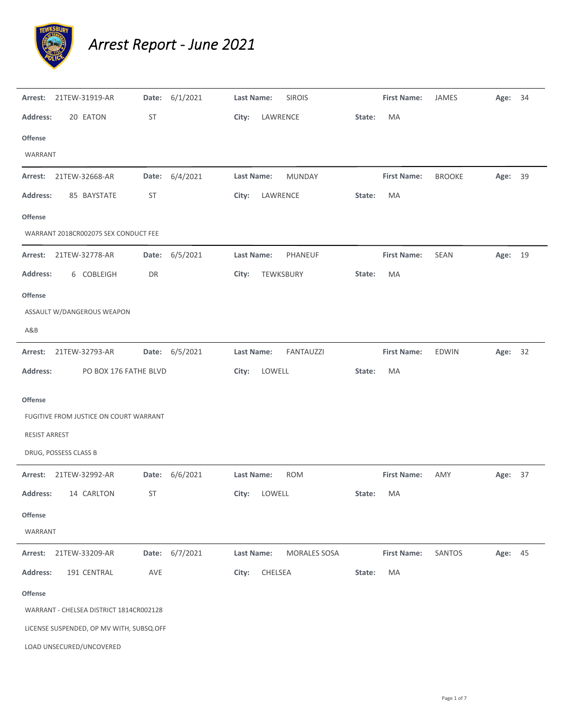

## *Arrest Report ‐ June 2021*

| Arrest:              | 21TEW-31919-AR                           | Date:     | 6/1/2021       | Last Name: |          | <b>SIROIS</b>       |        | <b>First Name:</b> | JAMES         | Age: 34 |    |
|----------------------|------------------------------------------|-----------|----------------|------------|----------|---------------------|--------|--------------------|---------------|---------|----|
| <b>Address:</b>      | 20 EATON                                 | <b>ST</b> |                | City:      | LAWRENCE |                     | State: | MA                 |               |         |    |
| Offense              |                                          |           |                |            |          |                     |        |                    |               |         |    |
| WARRANT              |                                          |           |                |            |          |                     |        |                    |               |         |    |
| Arrest:              | 21TEW-32668-AR                           | Date:     | 6/4/2021       | Last Name: |          | <b>MUNDAY</b>       |        | <b>First Name:</b> | <b>BROOKE</b> | Age:    | 39 |
| <b>Address:</b>      | 85 BAYSTATE                              | ST        |                | City:      | LAWRENCE |                     | State: | MA                 |               |         |    |
| Offense              |                                          |           |                |            |          |                     |        |                    |               |         |    |
|                      | WARRANT 2018CR002075 SEX CONDUCT FEE     |           |                |            |          |                     |        |                    |               |         |    |
| Arrest:              | 21TEW-32778-AR                           |           | Date: 6/5/2021 | Last Name: |          | PHANEUF             |        | <b>First Name:</b> | SEAN          | Age: 19 |    |
| <b>Address:</b>      | 6 COBLEIGH                               | DR        |                | City:      |          | TEWKSBURY           | State: | MA                 |               |         |    |
| Offense              |                                          |           |                |            |          |                     |        |                    |               |         |    |
|                      | ASSAULT W/DANGEROUS WEAPON               |           |                |            |          |                     |        |                    |               |         |    |
| A&B                  |                                          |           |                |            |          |                     |        |                    |               |         |    |
| Arrest:              | 21TEW-32793-AR                           |           | Date: 6/5/2021 | Last Name: |          | <b>FANTAUZZI</b>    |        | <b>First Name:</b> | <b>EDWIN</b>  | Age: 32 |    |
| <b>Address:</b>      | PO BOX 176 FATHE BLVD                    |           |                | City:      | LOWELL   |                     | State: | MA                 |               |         |    |
| Offense              |                                          |           |                |            |          |                     |        |                    |               |         |    |
|                      | FUGITIVE FROM JUSTICE ON COURT WARRANT   |           |                |            |          |                     |        |                    |               |         |    |
| <b>RESIST ARREST</b> |                                          |           |                |            |          |                     |        |                    |               |         |    |
|                      | DRUG, POSSESS CLASS B                    |           |                |            |          |                     |        |                    |               |         |    |
| Arrest:              | 21TEW-32992-AR                           |           | Date: 6/6/2021 | Last Name: |          | <b>ROM</b>          |        | <b>First Name:</b> | AMY           | Age: 37 |    |
| <b>Address:</b>      | 14 CARLTON                               | <b>ST</b> |                | City:      | LOWELL   |                     | State: | MA                 |               |         |    |
| Offense              |                                          |           |                |            |          |                     |        |                    |               |         |    |
| WARRANT              |                                          |           |                |            |          |                     |        |                    |               |         |    |
| Arrest:              | 21TEW-33209-AR                           |           | Date: 6/7/2021 | Last Name: |          | <b>MORALES SOSA</b> |        | <b>First Name:</b> | SANTOS        | Age: 45 |    |
| <b>Address:</b>      | 191 CENTRAL                              | AVE       |                | City:      | CHELSEA  |                     | State: | MA                 |               |         |    |
| Offense              |                                          |           |                |            |          |                     |        |                    |               |         |    |
|                      | WARRANT - CHELSEA DISTRICT 1814CR002128  |           |                |            |          |                     |        |                    |               |         |    |
|                      | LICENSE SUSPENDED, OP MV WITH, SUBSQ.OFF |           |                |            |          |                     |        |                    |               |         |    |
|                      | LOAD UNSECURED/UNCOVERED                 |           |                |            |          |                     |        |                    |               |         |    |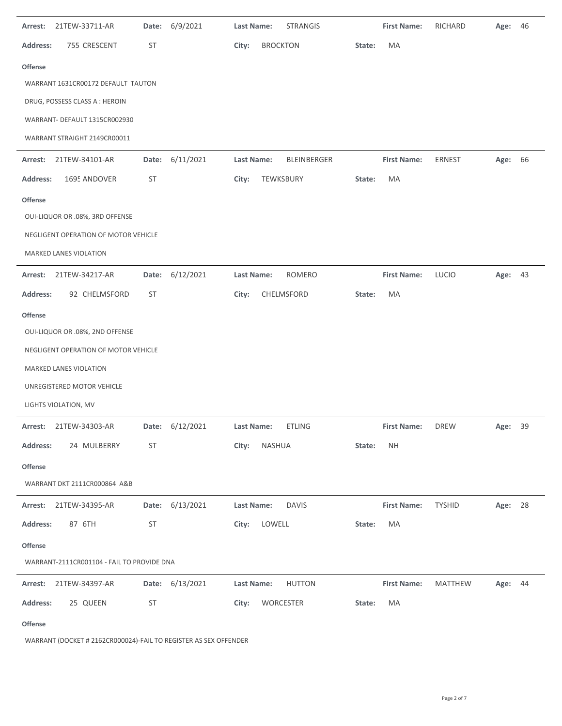| 21TEW-33711-AR<br>Arrest:                  | Date: 6/9/2021     | <b>STRANGIS</b><br>Last Name: | <b>First Name:</b>  | RICHARD<br>Age:<br>46     |  |  |  |  |
|--------------------------------------------|--------------------|-------------------------------|---------------------|---------------------------|--|--|--|--|
| <b>Address:</b><br>755 CRESCENT<br>ST      |                    | City:<br><b>BROCKTON</b>      | MA<br>State:        |                           |  |  |  |  |
| Offense                                    |                    |                               |                     |                           |  |  |  |  |
| WARRANT 1631CR00172 DEFAULT TAUTON         |                    |                               |                     |                           |  |  |  |  |
| DRUG, POSSESS CLASS A : HEROIN             |                    |                               |                     |                           |  |  |  |  |
| WARRANT- DEFAULT 1315CR002930              |                    |                               |                     |                           |  |  |  |  |
| WARRANT STRAIGHT 2149CR00011               |                    |                               |                     |                           |  |  |  |  |
| Arrest:<br>21TEW-34101-AR                  | Date: 6/11/2021    | Last Name:<br>BLEINBERGER     | <b>First Name:</b>  | ERNEST<br>Age: 66         |  |  |  |  |
| <b>Address:</b><br>1695 ANDOVER<br>ST      |                    | City:<br>TEWKSBURY            | MA<br>State:        |                           |  |  |  |  |
| <b>Offense</b>                             |                    |                               |                     |                           |  |  |  |  |
| OUI-LIQUOR OR .08%, 3RD OFFENSE            |                    |                               |                     |                           |  |  |  |  |
| NEGLIGENT OPERATION OF MOTOR VEHICLE       |                    |                               |                     |                           |  |  |  |  |
| MARKED LANES VIOLATION                     |                    |                               |                     |                           |  |  |  |  |
| Arrest:<br>21TEW-34217-AR<br>Date:         | 6/12/2021          | Last Name:<br><b>ROMERO</b>   | <b>First Name:</b>  | <b>LUCIO</b><br>Age: 43   |  |  |  |  |
| <b>Address:</b><br>92 CHELMSFORD<br>ST     |                    | City:<br>CHELMSFORD           | MA<br>State:        |                           |  |  |  |  |
| <b>Offense</b>                             |                    |                               |                     |                           |  |  |  |  |
| OUI-LIQUOR OR .08%, 2ND OFFENSE            |                    |                               |                     |                           |  |  |  |  |
| NEGLIGENT OPERATION OF MOTOR VEHICLE       |                    |                               |                     |                           |  |  |  |  |
| MARKED LANES VIOLATION                     |                    |                               |                     |                           |  |  |  |  |
| UNREGISTERED MOTOR VEHICLE                 |                    |                               |                     |                           |  |  |  |  |
| LIGHTS VIOLATION, MV                       |                    |                               |                     |                           |  |  |  |  |
| 21TEW-34303-AR<br>Arrest:                  | 6/12/2021<br>Date: | <b>ETLING</b><br>Last Name:   | <b>First Name:</b>  | <b>DREW</b><br>39<br>Age: |  |  |  |  |
| <b>Address:</b><br>24 MULBERRY<br>ST       |                    | City:<br><b>NASHUA</b>        | <b>NH</b><br>State: |                           |  |  |  |  |
| <b>Offense</b>                             |                    |                               |                     |                           |  |  |  |  |
| WARRANT DKT 2111CR000864 A&B               |                    |                               |                     |                           |  |  |  |  |
| 21TEW-34395-AR<br>Arrest:                  | 6/13/2021<br>Date: | Last Name:<br><b>DAVIS</b>    | <b>First Name:</b>  | <b>TYSHID</b><br>Age: 28  |  |  |  |  |
| Address:<br>87 6TH<br>ST                   |                    | LOWELL<br>City:               | MA<br>State:        |                           |  |  |  |  |
| Offense                                    |                    |                               |                     |                           |  |  |  |  |
| WARRANT-2111CR001104 - FAIL TO PROVIDE DNA |                    |                               |                     |                           |  |  |  |  |
| 21TEW-34397-AR<br>Arrest:                  | Date: 6/13/2021    | Last Name:<br><b>HUTTON</b>   | <b>First Name:</b>  | <b>MATTHEW</b><br>Age: 44 |  |  |  |  |
| ST<br><b>Address:</b><br>25 QUEEN          |                    | WORCESTER<br>City:            | MA<br>State:        |                           |  |  |  |  |
| <b>Offense</b>                             |                    |                               |                     |                           |  |  |  |  |

WARRANT (DOCKET # 2162CR000024)‐FAIL TO REGISTER AS SEX OFFENDER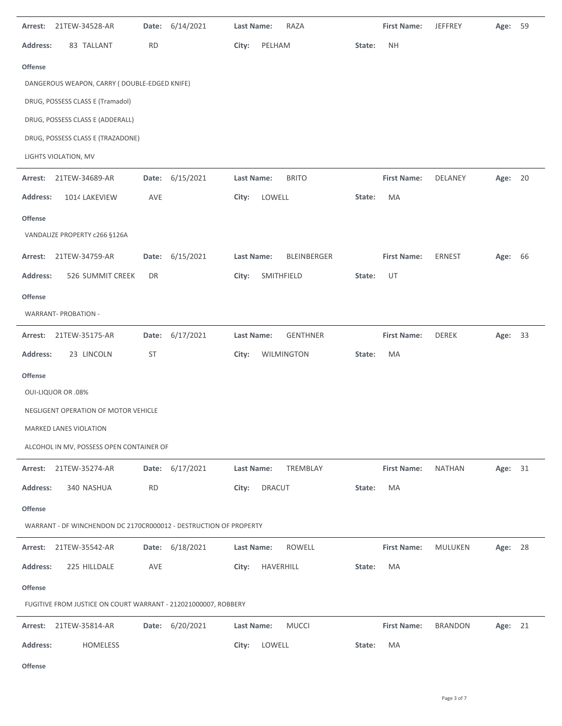| 21TEW-34528-AR<br>Arrest:                                         | Date: 6/14/2021 | RAZA<br>Last Name:               | <b>First Name:</b>  | <b>JEFFREY</b><br>59<br>Age: |  |  |  |  |
|-------------------------------------------------------------------|-----------------|----------------------------------|---------------------|------------------------------|--|--|--|--|
| <b>Address:</b><br>83 TALLANT<br><b>RD</b>                        |                 | City:<br>PELHAM                  | <b>NH</b><br>State: |                              |  |  |  |  |
| <b>Offense</b>                                                    |                 |                                  |                     |                              |  |  |  |  |
| DANGEROUS WEAPON, CARRY (DOUBLE-EDGED KNIFE)                      |                 |                                  |                     |                              |  |  |  |  |
| DRUG, POSSESS CLASS E (Tramadol)                                  |                 |                                  |                     |                              |  |  |  |  |
| DRUG, POSSESS CLASS E (ADDERALL)                                  |                 |                                  |                     |                              |  |  |  |  |
| DRUG, POSSESS CLASS E (TRAZADONE)                                 |                 |                                  |                     |                              |  |  |  |  |
| LIGHTS VIOLATION, MV                                              |                 |                                  |                     |                              |  |  |  |  |
| 21TEW-34689-AR<br>Arrest:                                         | Date: 6/15/2021 | <b>BRITO</b><br>Last Name:       | <b>First Name:</b>  | 20<br>DELANEY<br>Age:        |  |  |  |  |
| <b>Address:</b><br>AVE<br>1014 LAKEVIEW                           |                 | LOWELL<br>City:                  | State:<br>MA        |                              |  |  |  |  |
| Offense                                                           |                 |                                  |                     |                              |  |  |  |  |
| VANDALIZE PROPERTY c266 §126A                                     |                 |                                  |                     |                              |  |  |  |  |
| 21TEW-34759-AR<br>Arrest:                                         | Date: 6/15/2021 | <b>BLEINBERGER</b><br>Last Name: | <b>First Name:</b>  | ERNEST<br>66<br>Age:         |  |  |  |  |
| <b>Address:</b><br>526 SUMMIT CREEK<br>DR                         |                 | SMITHFIELD<br>City:              | UT<br>State:        |                              |  |  |  |  |
| <b>Offense</b>                                                    |                 |                                  |                     |                              |  |  |  |  |
| <b>WARRANT- PROBATION -</b>                                       |                 |                                  |                     |                              |  |  |  |  |
| 21TEW-35175-AR<br>Arrest:                                         | Date: 6/17/2021 | Last Name:<br><b>GENTHNER</b>    | <b>First Name:</b>  | 33<br><b>DEREK</b><br>Age:   |  |  |  |  |
| <b>Address:</b><br>23 LINCOLN<br>ST                               |                 | WILMINGTON<br>City:              | State:<br>MA        |                              |  |  |  |  |
| <b>Offense</b>                                                    |                 |                                  |                     |                              |  |  |  |  |
| <b>OUI-LIQUOR OR .08%</b>                                         |                 |                                  |                     |                              |  |  |  |  |
| NEGLIGENT OPERATION OF MOTOR VEHICLE                              |                 |                                  |                     |                              |  |  |  |  |
| <b>MARKED LANES VIOLATION</b>                                     |                 |                                  |                     |                              |  |  |  |  |
| ALCOHOL IN MV, POSSESS OPEN CONTAINER OF                          |                 |                                  |                     |                              |  |  |  |  |
| 21TEW-35274-AR<br>Date:<br>Arrest:                                | 6/17/2021       | TREMBLAY<br>Last Name:           | <b>First Name:</b>  | <b>NATHAN</b><br>Age: 31     |  |  |  |  |
| <b>Address:</b><br>340 NASHUA<br><b>RD</b>                        |                 | <b>DRACUT</b><br>City:           | MA<br>State:        |                              |  |  |  |  |
| <b>Offense</b>                                                    |                 |                                  |                     |                              |  |  |  |  |
| WARRANT - DF WINCHENDON DC 2170CR000012 - DESTRUCTION OF PROPERTY |                 |                                  |                     |                              |  |  |  |  |
| Arrest: 21TEW-35542-AR                                            | Date: 6/18/2021 | Last Name:<br>ROWELL             | <b>First Name:</b>  | Age: 28<br>MULUKEN           |  |  |  |  |
| <b>Address:</b><br>225 HILLDALE<br>AVE                            |                 | HAVERHILL<br>City:               | MA<br>State:        |                              |  |  |  |  |
| Offense                                                           |                 |                                  |                     |                              |  |  |  |  |
| FUGITIVE FROM JUSTICE ON COURT WARRANT - 212021000007, ROBBERY    |                 |                                  |                     |                              |  |  |  |  |
| Arrest:<br>21TEW-35814-AR                                         | Date: 6/20/2021 | Last Name:<br><b>MUCCI</b>       | <b>First Name:</b>  | <b>BRANDON</b><br>Age: 21    |  |  |  |  |
| <b>Address:</b><br>HOMELESS                                       |                 | LOWELL<br>City:                  | MA<br>State:        |                              |  |  |  |  |

**Offense**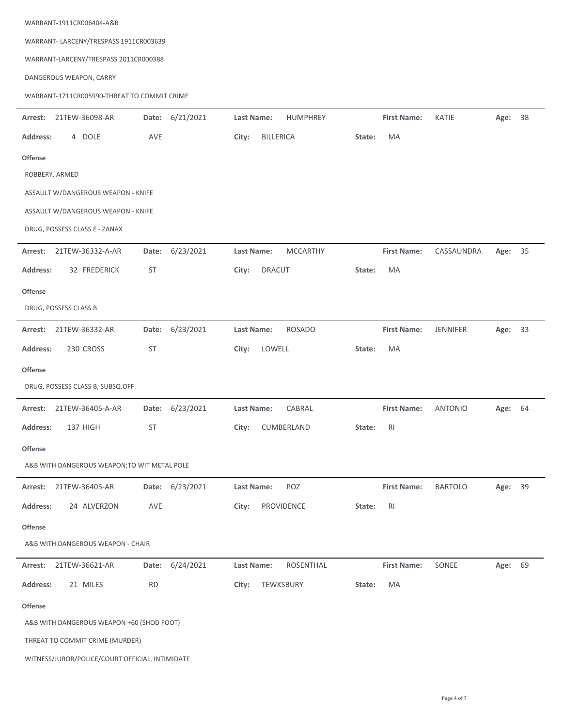| WARRANT-1911CR006404-A&B                        |                    |                               |                     |                |            |
|-------------------------------------------------|--------------------|-------------------------------|---------------------|----------------|------------|
| WARRANT-LARCENY/TRESPASS 1911CR003639           |                    |                               |                     |                |            |
| WARRANT-LARCENY/TRESPASS 2011CR000388           |                    |                               |                     |                |            |
| DANGEROUS WEAPON, CARRY                         |                    |                               |                     |                |            |
| WARRANT-1711CR005990-THREAT TO COMMIT CRIME     |                    |                               |                     |                |            |
| 21TEW-36098-AR<br>Arrest:                       | Date: 6/21/2021    | Last Name:<br><b>HUMPHREY</b> | <b>First Name:</b>  | KATIE          | Age: 38    |
| 4 DOLE<br><b>Address:</b>                       | AVE                | BILLERICA<br>City:            | MA<br>State:        |                |            |
| <b>Offense</b>                                  |                    |                               |                     |                |            |
| ROBBERY, ARMED                                  |                    |                               |                     |                |            |
| ASSAULT W/DANGEROUS WEAPON - KNIFE              |                    |                               |                     |                |            |
| ASSAULT W/DANGEROUS WEAPON - KNIFE              |                    |                               |                     |                |            |
| DRUG, POSSESS CLASS E - ZANAX                   |                    |                               |                     |                |            |
| 21TEW-36332-A-AR<br>Arrest:                     | 6/23/2021<br>Date: | Last Name:<br><b>MCCARTHY</b> | <b>First Name:</b>  | CASSAUNDRA     | 35<br>Age: |
|                                                 |                    |                               |                     |                |            |
| 32 FREDERICK<br><b>Address:</b>                 | <b>ST</b>          | <b>DRACUT</b><br>City:        | MA<br>State:        |                |            |
| <b>Offense</b>                                  |                    |                               |                     |                |            |
| DRUG, POSSESS CLASS B                           |                    |                               |                     |                |            |
| 21TEW-36332-AR<br>Arrest:                       | 6/23/2021<br>Date: | Last Name:<br><b>ROSADO</b>   | <b>First Name:</b>  | JENNIFER       | Age: 33    |
| <b>Address:</b><br>230 CROSS                    | ST                 | City:<br>LOWELL               | MA<br>State:        |                |            |
| <b>Offense</b>                                  |                    |                               |                     |                |            |
| DRUG, POSSESS CLASS B, SUBSQ.OFF.               |                    |                               |                     |                |            |
| Arrest: 21TEW-36405-A-AR                        | Date: 6/23/2021    | Last Name:<br>CABRAL          | <b>First Name:</b>  | <b>ANTONIO</b> | Age: 64    |
| Address:<br>137 HIGH                            | ST                 | City: CUMBERLAND              | State:<br>RI        |                |            |
| <b>Offense</b>                                  |                    |                               |                     |                |            |
| A&B WITH DANGEROUS WEAPON; TO WIT METAL POLE    |                    |                               |                     |                |            |
| 21TEW-36405-AR<br>Arrest:                       | Date: 6/23/2021    | Last Name:<br>POZ             | <b>First Name:</b>  | <b>BARTOLO</b> | Age: 39    |
| <b>Address:</b><br>24 ALVERZON                  | AVE                | City:<br>PROVIDENCE           | <b>RI</b><br>State: |                |            |
|                                                 |                    |                               |                     |                |            |
| Offense<br>A&B WITH DANGEROUS WEAPON - CHAIR    |                    |                               |                     |                |            |
|                                                 |                    |                               |                     |                |            |
| 21TEW-36621-AR<br>Arrest:                       | 6/24/2021<br>Date: | Last Name:<br>ROSENTHAL       | <b>First Name:</b>  | SONEE          | Age: 69    |
| <b>Address:</b><br>21 MILES                     | <b>RD</b>          | City:<br>TEWKSBURY            | MA<br>State:        |                |            |
| Offense                                         |                    |                               |                     |                |            |
| A&B WITH DANGEROUS WEAPON +60 (SHOD FOOT)       |                    |                               |                     |                |            |
| THREAT TO COMMIT CRIME (MURDER)                 |                    |                               |                     |                |            |
| WITNESS/JUROR/POLICE/COURT OFFICIAL, INTIMIDATE |                    |                               |                     |                |            |

 $\overline{\phantom{0}}$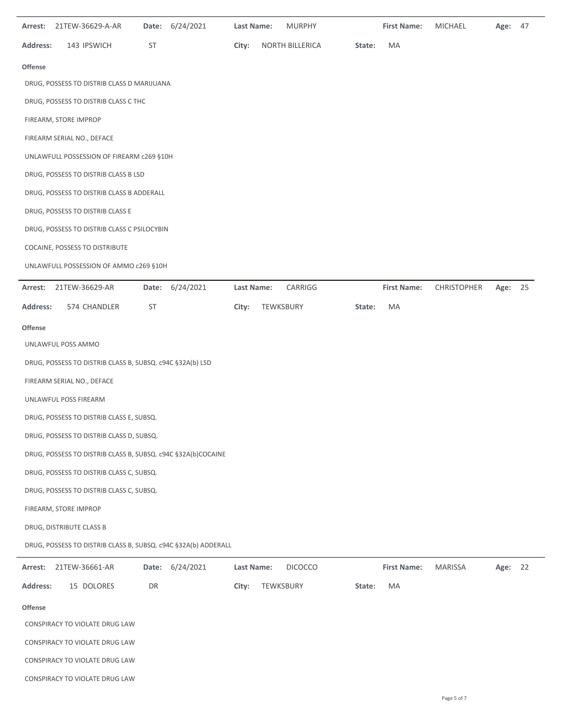| Arrest: 21TEW-36629-A-AR                                       | Date: 6/24/2021                | Last Name:<br><b>MURPHY</b>  | <b>First Name:</b> | <b>MICHAEL</b><br>47<br>Age: |  |  |  |  |  |
|----------------------------------------------------------------|--------------------------------|------------------------------|--------------------|------------------------------|--|--|--|--|--|
| 143 IPSWICH<br><b>Address:</b>                                 | ST                             | City:<br>NORTH BILLERICA     | State:<br>MA       |                              |  |  |  |  |  |
| <b>Offense</b>                                                 |                                |                              |                    |                              |  |  |  |  |  |
| DRUG, POSSESS TO DISTRIB CLASS D MARIJUANA                     |                                |                              |                    |                              |  |  |  |  |  |
| DRUG, POSSESS TO DISTRIB CLASS C THC                           |                                |                              |                    |                              |  |  |  |  |  |
| FIREARM, STORE IMPROP                                          |                                |                              |                    |                              |  |  |  |  |  |
| FIREARM SERIAL NO., DEFACE                                     |                                |                              |                    |                              |  |  |  |  |  |
| UNLAWFULL POSSESSION OF FIREARM c269 §10H                      |                                |                              |                    |                              |  |  |  |  |  |
| DRUG, POSSESS TO DISTRIB CLASS B LSD                           |                                |                              |                    |                              |  |  |  |  |  |
| DRUG, POSSESS TO DISTRIB CLASS B ADDERALL                      |                                |                              |                    |                              |  |  |  |  |  |
| DRUG, POSSESS TO DISTRIB CLASS E                               |                                |                              |                    |                              |  |  |  |  |  |
| DRUG, POSSESS TO DISTRIB CLASS C PSILOCYBIN                    |                                |                              |                    |                              |  |  |  |  |  |
| COCAINE, POSSESS TO DISTRIBUTE                                 |                                |                              |                    |                              |  |  |  |  |  |
| UNLAWFULL POSSESSION OF AMMO c269 §10H                         |                                |                              |                    |                              |  |  |  |  |  |
| Arrest: 21TEW-36629-AR                                         | Date: 6/24/2021                | CARRIGG<br>Last Name:        | <b>First Name:</b> | CHRISTOPHER<br>Age:<br>25    |  |  |  |  |  |
| <b>Address:</b><br>574 CHANDLER                                | ST                             | City:<br>TEWKSBURY           | MA<br>State:       |                              |  |  |  |  |  |
| <b>Offense</b>                                                 |                                |                              |                    |                              |  |  |  |  |  |
| UNLAWFUL POSS AMMO                                             |                                |                              |                    |                              |  |  |  |  |  |
| DRUG, POSSESS TO DISTRIB CLASS B, SUBSQ. c94C §32A(b) LSD      |                                |                              |                    |                              |  |  |  |  |  |
| FIREARM SERIAL NO., DEFACE                                     |                                |                              |                    |                              |  |  |  |  |  |
| UNLAWFUL POSS FIREARM                                          |                                |                              |                    |                              |  |  |  |  |  |
| DRUG, POSSESS TO DISTRIB CLASS E, SUBSQ.                       |                                |                              |                    |                              |  |  |  |  |  |
| DRUG, POSSESS TO DISTRIB CLASS D, SUBSQ.                       |                                |                              |                    |                              |  |  |  |  |  |
| DRUG, POSSESS TO DISTRIB CLASS B, SUBSQ. c94C §32A(b)COCAINE   |                                |                              |                    |                              |  |  |  |  |  |
| DRUG, POSSESS TO DISTRIB CLASS C, SUBSQ.                       |                                |                              |                    |                              |  |  |  |  |  |
| DRUG, POSSESS TO DISTRIB CLASS C, SUBSQ.                       |                                |                              |                    |                              |  |  |  |  |  |
| FIREARM, STORE IMPROP                                          |                                |                              |                    |                              |  |  |  |  |  |
| DRUG, DISTRIBUTE CLASS B                                       |                                |                              |                    |                              |  |  |  |  |  |
| DRUG, POSSESS TO DISTRIB CLASS B, SUBSQ. c94C §32A(b) ADDERALL |                                |                              |                    |                              |  |  |  |  |  |
| 21TEW-36661-AR<br>Arrest:                                      | Date: 6/24/2021                | <b>DICOCCO</b><br>Last Name: | <b>First Name:</b> | <b>MARISSA</b><br>22<br>Age: |  |  |  |  |  |
| <b>Address:</b><br>15 DOLORES                                  | DR                             | City:<br>TEWKSBURY           | MA<br>State:       |                              |  |  |  |  |  |
| <b>Offense</b>                                                 |                                |                              |                    |                              |  |  |  |  |  |
| CONSPIRACY TO VIOLATE DRUG LAW                                 |                                |                              |                    |                              |  |  |  |  |  |
|                                                                | CONSPIRACY TO VIOLATE DRUG LAW |                              |                    |                              |  |  |  |  |  |
| CONSPIRACY TO VIOLATE DRUG LAW                                 |                                |                              |                    |                              |  |  |  |  |  |
| CONSPIRACY TO VIOLATE DRUG LAW                                 |                                |                              |                    |                              |  |  |  |  |  |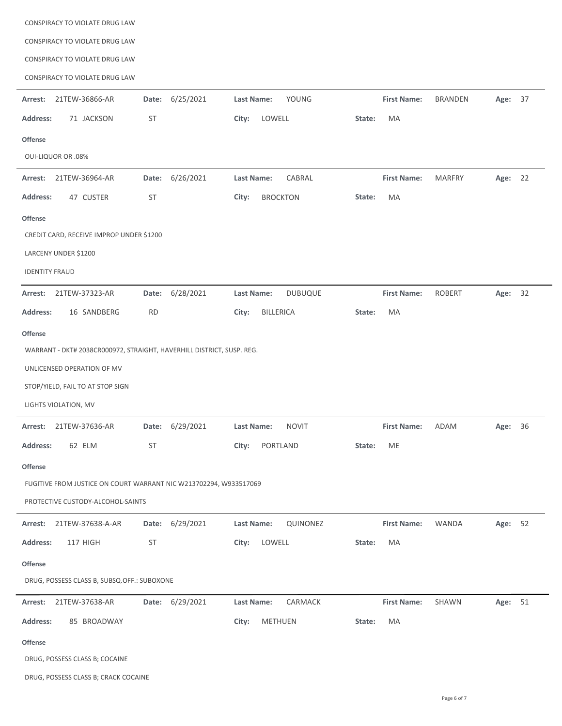| CONSPIRACY TO VIOLATE DRUG LAW                                        |                 |                   |                              |        |                    |                |         |    |
|-----------------------------------------------------------------------|-----------------|-------------------|------------------------------|--------|--------------------|----------------|---------|----|
| CONSPIRACY TO VIOLATE DRUG LAW                                        |                 |                   |                              |        |                    |                |         |    |
| CONSPIRACY TO VIOLATE DRUG LAW                                        |                 |                   |                              |        |                    |                |         |    |
| CONSPIRACY TO VIOLATE DRUG LAW                                        |                 |                   |                              |        |                    |                |         |    |
| 21TEW-36866-AR<br>Arrest:                                             | Date:           | 6/25/2021         | YOUNG<br><b>Last Name:</b>   |        | <b>First Name:</b> | <b>BRANDEN</b> | Age: 37 |    |
| 71 JACKSON<br><b>Address:</b>                                         | ST              | City:             | LOWELL                       | State: | MA                 |                |         |    |
| <b>Offense</b>                                                        |                 |                   |                              |        |                    |                |         |    |
| <b>OUI-LIQUOR OR .08%</b>                                             |                 |                   |                              |        |                    |                |         |    |
| 21TEW-36964-AR<br>Arrest:                                             | Date: 6/26/2021 |                   | CABRAL<br>Last Name:         |        | <b>First Name:</b> | <b>MARFRY</b>  | Age: 22 |    |
| <b>Address:</b><br>47 CUSTER                                          | ST              | City:             | <b>BROCKTON</b>              | State: | MA                 |                |         |    |
| <b>Offense</b>                                                        |                 |                   |                              |        |                    |                |         |    |
| CREDIT CARD, RECEIVE IMPROP UNDER \$1200                              |                 |                   |                              |        |                    |                |         |    |
| LARCENY UNDER \$1200                                                  |                 |                   |                              |        |                    |                |         |    |
| <b>IDENTITY FRAUD</b>                                                 |                 |                   |                              |        |                    |                |         |    |
| 21TEW-37323-AR<br>Arrest:                                             | Date:           | 6/28/2021         | Last Name:<br><b>DUBUQUE</b> |        | <b>First Name:</b> | <b>ROBERT</b>  | Age: 32 |    |
| <b>Address:</b><br>16 SANDBERG                                        | <b>RD</b>       | City:             | <b>BILLERICA</b>             | State: | MA                 |                |         |    |
| <b>Offense</b>                                                        |                 |                   |                              |        |                    |                |         |    |
| WARRANT - DKT# 2038CR000972, STRAIGHT, HAVERHILL DISTRICT, SUSP. REG. |                 |                   |                              |        |                    |                |         |    |
| UNLICENSED OPERATION OF MV                                            |                 |                   |                              |        |                    |                |         |    |
| STOP/YIELD, FAIL TO AT STOP SIGN                                      |                 |                   |                              |        |                    |                |         |    |
| LIGHTS VIOLATION, MV                                                  |                 |                   |                              |        |                    |                |         |    |
| <b>Arrest: 21TEW-37636-AR</b>                                         | Date:           | 6/29/2021         | <b>NOVIT</b><br>Last Name:   |        | <b>First Name:</b> | ADAM           | Age:    | 36 |
| <b>Address:</b><br>62 ELM                                             | ST              | City:             | PORTLAND                     | State: | ME                 |                |         |    |
| <b>Offense</b>                                                        |                 |                   |                              |        |                    |                |         |    |
| FUGITIVE FROM JUSTICE ON COURT WARRANT NIC W213702294, W933517069     |                 |                   |                              |        |                    |                |         |    |
| PROTECTIVE CUSTODY-ALCOHOL-SAINTS                                     |                 |                   |                              |        |                    |                |         |    |
| Arrest:<br>21TEW-37638-A-AR                                           | Date: 6/29/2021 |                   | Last Name:<br>QUINONEZ       |        | <b>First Name:</b> | WANDA          | Age: 52 |    |
| Address:<br>117 HIGH                                                  | ST              | City:             | LOWELL                       | State: | MA                 |                |         |    |
| <b>Offense</b>                                                        |                 |                   |                              |        |                    |                |         |    |
| DRUG, POSSESS CLASS B, SUBSQ.OFF.: SUBOXONE                           |                 |                   |                              |        |                    |                |         |    |
|                                                                       |                 |                   |                              |        |                    |                |         |    |
| 21TEW-37638-AR<br>Arrest:                                             | Date: 6/29/2021 | <b>Last Name:</b> | CARMACK                      |        | <b>First Name:</b> | SHAWN          | Age: 51 |    |
| <b>Address:</b><br>85 BROADWAY                                        |                 | City:             | <b>METHUEN</b>               | State: | MA                 |                |         |    |
| <b>Offense</b>                                                        |                 |                   |                              |        |                    |                |         |    |
| DRUG, POSSESS CLASS B; COCAINE                                        |                 |                   |                              |        |                    |                |         |    |